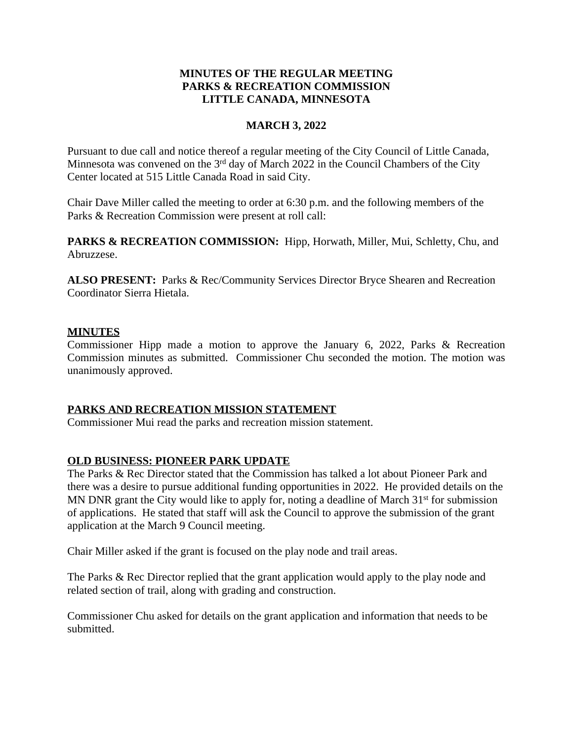## **MINUTES OF THE REGULAR MEETING PARKS & RECREATION COMMISSION LITTLE CANADA, MINNESOTA**

### **MARCH 3, 2022**

Pursuant to due call and notice thereof a regular meeting of the City Council of Little Canada, Minnesota was convened on the  $3<sup>rd</sup>$  day of March 2022 in the Council Chambers of the City Center located at 515 Little Canada Road in said City.

Chair Dave Miller called the meeting to order at 6:30 p.m. and the following members of the Parks & Recreation Commission were present at roll call:

PARKS & RECREATION COMMISSION: Hipp, Horwath, Miller, Mui, Schletty, Chu, and Abruzzese.

**ALSO PRESENT:** Parks & Rec/Community Services Director Bryce Shearen and Recreation Coordinator Sierra Hietala.

## **MINUTES**

Commissioner Hipp made a motion to approve the January 6, 2022, Parks & Recreation Commission minutes as submitted. Commissioner Chu seconded the motion. The motion was unanimously approved.

### **PARKS AND RECREATION MISSION STATEMENT**

Commissioner Mui read the parks and recreation mission statement.

### **OLD BUSINESS: PIONEER PARK UPDATE**

The Parks & Rec Director stated that the Commission has talked a lot about Pioneer Park and there was a desire to pursue additional funding opportunities in 2022. He provided details on the MN DNR grant the City would like to apply for, noting a deadline of March  $31<sup>st</sup>$  for submission of applications. He stated that staff will ask the Council to approve the submission of the grant application at the March 9 Council meeting.

Chair Miller asked if the grant is focused on the play node and trail areas.

The Parks & Rec Director replied that the grant application would apply to the play node and related section of trail, along with grading and construction.

Commissioner Chu asked for details on the grant application and information that needs to be submitted.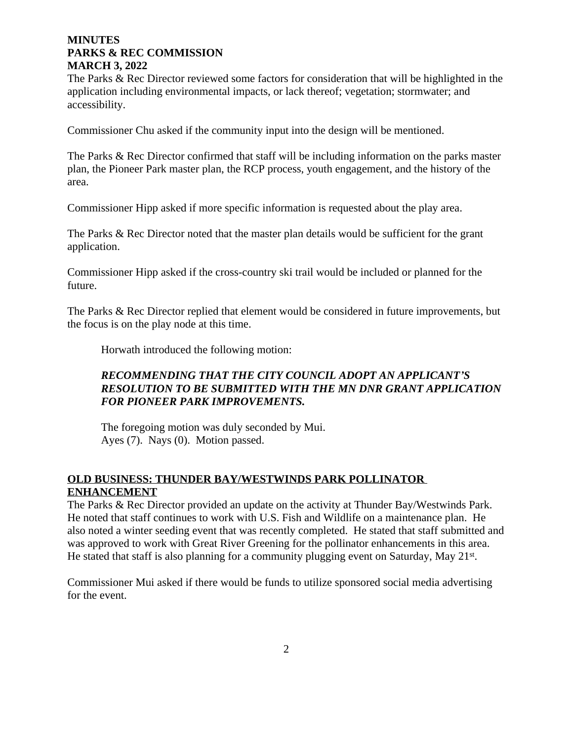The Parks & Rec Director reviewed some factors for consideration that will be highlighted in the application including environmental impacts, or lack thereof; vegetation; stormwater; and accessibility.

Commissioner Chu asked if the community input into the design will be mentioned.

The Parks & Rec Director confirmed that staff will be including information on the parks master plan, the Pioneer Park master plan, the RCP process, youth engagement, and the history of the area.

Commissioner Hipp asked if more specific information is requested about the play area.

The Parks & Rec Director noted that the master plan details would be sufficient for the grant application.

Commissioner Hipp asked if the cross-country ski trail would be included or planned for the future.

The Parks & Rec Director replied that element would be considered in future improvements, but the focus is on the play node at this time.

Horwath introduced the following motion:

## *RECOMMENDING THAT THE CITY COUNCIL ADOPT AN APPLICANT'S RESOLUTION TO BE SUBMITTED WITH THE MN DNR GRANT APPLICATION FOR PIONEER PARK IMPROVEMENTS.*

The foregoing motion was duly seconded by Mui. Ayes (7). Nays (0). Motion passed.

### **OLD BUSINESS: THUNDER BAY/WESTWINDS PARK POLLINATOR ENHANCEMENT**

The Parks & Rec Director provided an update on the activity at Thunder Bay/Westwinds Park. He noted that staff continues to work with U.S. Fish and Wildlife on a maintenance plan. He also noted a winter seeding event that was recently completed. He stated that staff submitted and was approved to work with Great River Greening for the pollinator enhancements in this area. He stated that staff is also planning for a community plugging event on Saturday, May 21<sup>st</sup>.

Commissioner Mui asked if there would be funds to utilize sponsored social media advertising for the event.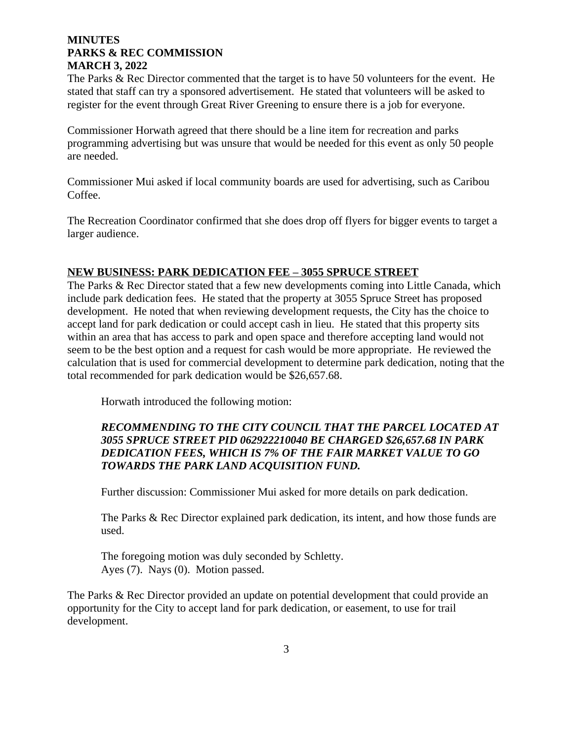The Parks & Rec Director commented that the target is to have 50 volunteers for the event. He stated that staff can try a sponsored advertisement. He stated that volunteers will be asked to register for the event through Great River Greening to ensure there is a job for everyone.

Commissioner Horwath agreed that there should be a line item for recreation and parks programming advertising but was unsure that would be needed for this event as only 50 people are needed.

Commissioner Mui asked if local community boards are used for advertising, such as Caribou Coffee.

The Recreation Coordinator confirmed that she does drop off flyers for bigger events to target a larger audience.

#### **NEW BUSINESS: PARK DEDICATION FEE – 3055 SPRUCE STREET**

The Parks & Rec Director stated that a few new developments coming into Little Canada, which include park dedication fees. He stated that the property at 3055 Spruce Street has proposed development. He noted that when reviewing development requests, the City has the choice to accept land for park dedication or could accept cash in lieu. He stated that this property sits within an area that has access to park and open space and therefore accepting land would not seem to be the best option and a request for cash would be more appropriate. He reviewed the calculation that is used for commercial development to determine park dedication, noting that the total recommended for park dedication would be \$26,657.68.

Horwath introduced the following motion:

# *RECOMMENDING TO THE CITY COUNCIL THAT THE PARCEL LOCATED AT 3055 SPRUCE STREET PID 062922210040 BE CHARGED \$26,657.68 IN PARK DEDICATION FEES, WHICH IS 7% OF THE FAIR MARKET VALUE TO GO TOWARDS THE PARK LAND ACQUISITION FUND.*

Further discussion: Commissioner Mui asked for more details on park dedication.

The Parks & Rec Director explained park dedication, its intent, and how those funds are used.

The foregoing motion was duly seconded by Schletty. Ayes (7). Nays (0). Motion passed.

The Parks & Rec Director provided an update on potential development that could provide an opportunity for the City to accept land for park dedication, or easement, to use for trail development.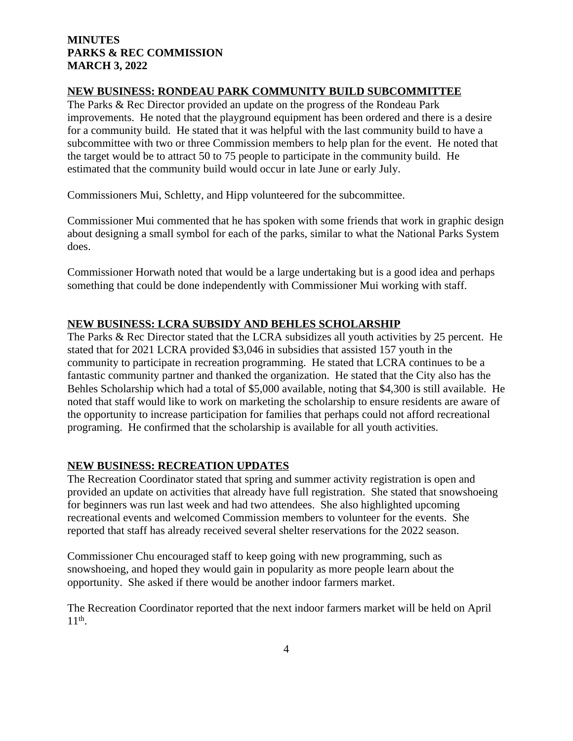### **NEW BUSINESS: RONDEAU PARK COMMUNITY BUILD SUBCOMMITTEE**

The Parks & Rec Director provided an update on the progress of the Rondeau Park improvements. He noted that the playground equipment has been ordered and there is a desire for a community build. He stated that it was helpful with the last community build to have a subcommittee with two or three Commission members to help plan for the event. He noted that the target would be to attract 50 to 75 people to participate in the community build. He estimated that the community build would occur in late June or early July.

Commissioners Mui, Schletty, and Hipp volunteered for the subcommittee.

Commissioner Mui commented that he has spoken with some friends that work in graphic design about designing a small symbol for each of the parks, similar to what the National Parks System does.

Commissioner Horwath noted that would be a large undertaking but is a good idea and perhaps something that could be done independently with Commissioner Mui working with staff.

## **NEW BUSINESS: LCRA SUBSIDY AND BEHLES SCHOLARSHIP**

The Parks & Rec Director stated that the LCRA subsidizes all youth activities by 25 percent. He stated that for 2021 LCRA provided \$3,046 in subsidies that assisted 157 youth in the community to participate in recreation programming. He stated that LCRA continues to be a fantastic community partner and thanked the organization. He stated that the City also has the Behles Scholarship which had a total of \$5,000 available, noting that \$4,300 is still available. He noted that staff would like to work on marketing the scholarship to ensure residents are aware of the opportunity to increase participation for families that perhaps could not afford recreational programing. He confirmed that the scholarship is available for all youth activities.

# **NEW BUSINESS: RECREATION UPDATES**

The Recreation Coordinator stated that spring and summer activity registration is open and provided an update on activities that already have full registration. She stated that snowshoeing for beginners was run last week and had two attendees. She also highlighted upcoming recreational events and welcomed Commission members to volunteer for the events. She reported that staff has already received several shelter reservations for the 2022 season.

Commissioner Chu encouraged staff to keep going with new programming, such as snowshoeing, and hoped they would gain in popularity as more people learn about the opportunity. She asked if there would be another indoor farmers market.

The Recreation Coordinator reported that the next indoor farmers market will be held on April 11th .